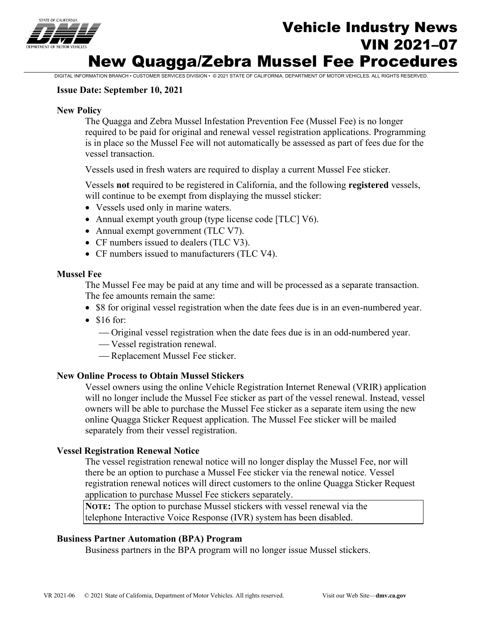

# Vehicle Industry News VIN 2021–07 New Quagga/Zebra Mussel Fee Procedures

DIGITAL INFORMATION BRANCH • CUSTOMER SERVICES DIVISION • © 2021 STATE OF CALIFORNIA, DEPARTMENT OF MOTOR VEHICLES. ALL RIGHTS RESERVED.

#### **Issue Date: September 10, 2021**

#### **New Policy**

The Quagga and Zebra Mussel Infestation Prevention Fee (Mussel Fee) is no longer required to be paid for original and renewal vessel registration applications. Programming is in place so the Mussel Fee will not automatically be assessed as part of fees due for the vessel transaction.

Vessels used in fresh waters are required to display a current Mussel Fee sticker.

Vessels **not** required to be registered in California, and the following **registered** vessels, will continue to be exempt from displaying the mussel sticker:

- Vessels used only in marine waters.
- Annual exempt youth group (type license code [TLC] V6).
- Annual exempt government (TLC V7).
- CF numbers issued to dealers (TLC V3).
- CF numbers issued to manufacturers (TLC V4).

#### **Mussel Fee**

The Mussel Fee may be paid at any time and will be processed as a separate transaction. The fee amounts remain the same:

- \$8 for original vessel registration when the date fees due is in an even-numbered year.
- \$16 for:
	- Original vessel registration when the date fees due is in an odd-numbered year.
	- Vessel registration renewal.
	- Replacement Mussel Fee sticker.

## **New Online Process to Obtain Mussel Stickers**

Vessel owners using the online Vehicle Registration Internet Renewal (VRIR) application will no longer include the Mussel Fee sticker as part of the vessel renewal. Instead, vessel owners will be able to purchase the Mussel Fee sticker as a separate item using the new online Quagga Sticker Request application. The Mussel Fee sticker will be mailed separately from their vessel registration.

#### **Vessel Registration Renewal Notice**

The vessel registration renewal notice will no longer display the Mussel Fee, nor will there be an option to purchase a Mussel Fee sticker via the renewal notice. Vessel registration renewal notices will direct customers to the online Quagga Sticker Request application to purchase Mussel Fee stickers separately.

**NOTE:** The option to purchase Mussel stickers with vessel renewal via the telephone Interactive Voice Response (IVR) system has been disabled.

#### **Business Partner Automation (BPA) Program**

Business partners in the BPA program will no longer issue Mussel stickers.